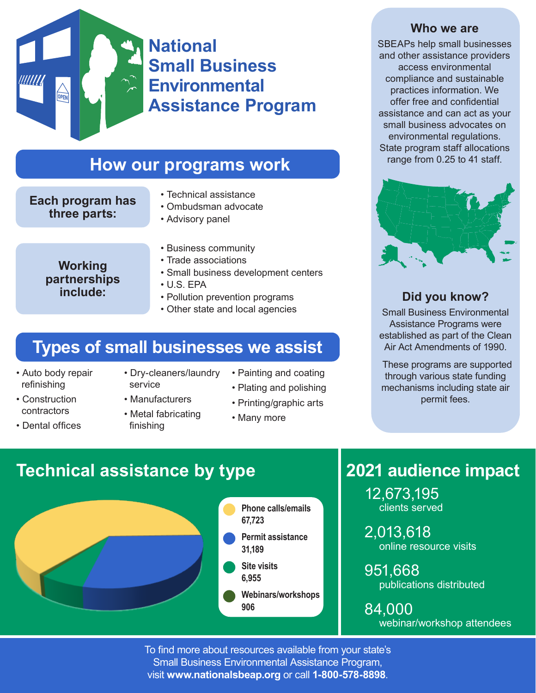# OPEN

## **National Small Business Environmental Assistance Program**

#### **How our programs work**

**Each program has three parts:**

- Technical assistance
- Ombudsman advocate
- Advisory panel

**Working partnerships include:**

- Business community • Trade associations
- 
- Small business development centers
- 
- U.S. EPA
- Pollution prevention programs
- Other state and local agencies

### **Types of small businesses we assist**

- Auto body repair refinishing
- Construction contractors
- Dental offices
- Dry-cleaners/laundry service

• Manufacturers • Metal fabricating

finishing

- Plating and polishing
	- Printing/graphic arts

• Painting and coating

• Many more

#### **Who we are**

SBEAPs help small businesses and other assistance providers access environmental compliance and sustainable practices information. We offer free and confidential assistance and can act as your small business advocates on environmental regulations. State program staff allocations range from 0.25 to 41 staff.



#### **Did you know?**

Small Business Environmental Assistance Programs were established as part of the Clean Air Act Amendments of 1990.

These programs are supported through various state funding mechanisms including state air permit fees.

#### **Technical assistance by type 2021 audience impact**



12,673,195 clients served

2,013,618 online resource visits

951,668 publications distributed

84,000 webinar/workshop attendees

To find more about resources available from your state's Small Business Environmental Assistance Program, visit **www.nationalsbeap.org** or call **1-800-578-8898**.